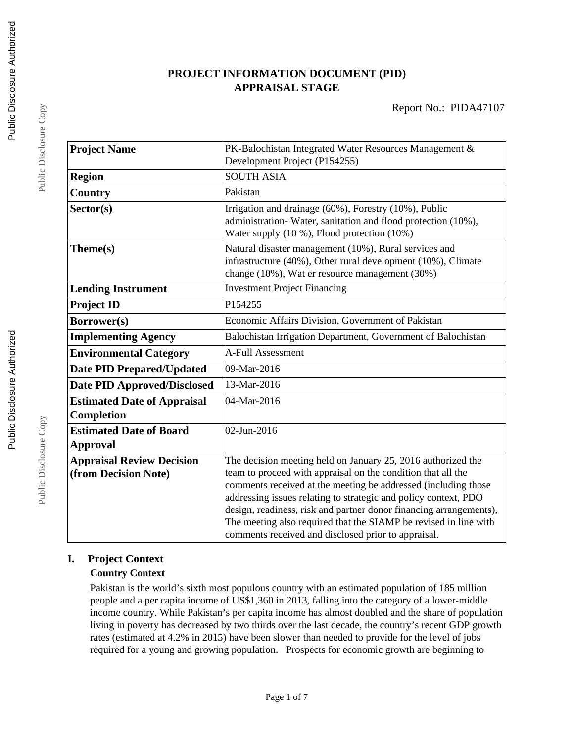# **PROJECT INFORMATION DOCUMENT (PID) APPRAISAL STAGE**

| <b>Project Name</b>                                      | PK-Balochistan Integrated Water Resources Management &<br>Development Project (P154255)                                                                                                                                                                          |  |  |
|----------------------------------------------------------|------------------------------------------------------------------------------------------------------------------------------------------------------------------------------------------------------------------------------------------------------------------|--|--|
| <b>Region</b>                                            | <b>SOUTH ASIA</b>                                                                                                                                                                                                                                                |  |  |
| Country                                                  | Pakistan                                                                                                                                                                                                                                                         |  |  |
| Sector(s)                                                | Irrigation and drainage (60%), Forestry (10%), Public<br>administration-Water, sanitation and flood protection (10%),<br>Water supply (10 %), Flood protection (10%)                                                                                             |  |  |
| Theme(s)                                                 | Natural disaster management (10%), Rural services and<br>infrastructure (40%), Other rural development (10%), Climate<br>change (10%), Wat er resource management (30%)                                                                                          |  |  |
| <b>Lending Instrument</b>                                | <b>Investment Project Financing</b>                                                                                                                                                                                                                              |  |  |
| <b>Project ID</b>                                        | P154255                                                                                                                                                                                                                                                          |  |  |
| Borrower(s)                                              | Economic Affairs Division, Government of Pakistan                                                                                                                                                                                                                |  |  |
| <b>Implementing Agency</b>                               | Balochistan Irrigation Department, Government of Balochistan                                                                                                                                                                                                     |  |  |
| <b>Environmental Category</b>                            | <b>A-Full Assessment</b>                                                                                                                                                                                                                                         |  |  |
| <b>Date PID Prepared/Updated</b>                         | 09-Mar-2016                                                                                                                                                                                                                                                      |  |  |
| <b>Date PID Approved/Disclosed</b>                       | 13-Mar-2016                                                                                                                                                                                                                                                      |  |  |
| <b>Estimated Date of Appraisal</b><br>Completion         | 04-Mar-2016                                                                                                                                                                                                                                                      |  |  |
| <b>Estimated Date of Board</b><br><b>Approval</b>        | 02-Jun-2016                                                                                                                                                                                                                                                      |  |  |
| <b>Appraisal Review Decision</b><br>(from Decision Note) | The decision meeting held on January 25, 2016 authorized the<br>team to proceed with appraisal on the condition that all the<br>comments received at the meeting be addressed (including those                                                                   |  |  |
|                                                          | addressing issues relating to strategic and policy context, PDO<br>design, readiness, risk and partner donor financing arrangements),<br>The meeting also required that the SIAMP be revised in line with<br>comments received and disclosed prior to appraisal. |  |  |

# **I. Project Context**

# **Country Context**

Pakistan is the world's sixth most populous country with an estimated population of 185 million people and a per capita income of US\$1,360 in 2013, falling into the category of a lower-middle income country. While Pakistan's per capita income has almost doubled and the share of population living in poverty has decreased by two thirds over the last decade, the country's recent GDP growth rates (estimated at 4.2% in 2015) have been slower than needed to provide for the level of jobs required for a young and growing population. Prospects for economic growth are beginning to

Public Disclosure Copy

Public Disclosure Copy

Public Disclosure Copy

Public Disclosure Copy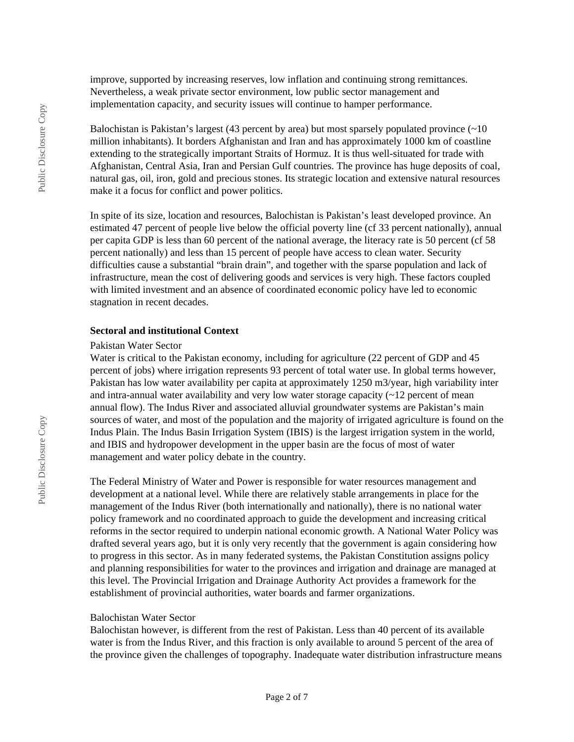improve, supported by increasing reserves, low inflation and continuing strong remittances. Nevertheless, a weak private sector environment, low public sector management and implementation capacity, and security issues will continue to hamper performance.

Balochistan is Pakistan's largest (43 percent by area) but most sparsely populated province  $(\sim 10$ million inhabitants). It borders Afghanistan and Iran and has approximately 1000 km of coastline extending to the strategically important Straits of Hormuz. It is thus well-situated for trade with Afghanistan, Central Asia, Iran and Persian Gulf countries. The province has huge deposits of coal, natural gas, oil, iron, gold and precious stones. Its strategic location and extensive natural resources make it a focus for conflict and power politics.

In spite of its size, location and resources, Balochistan is Pakistan's least developed province. An estimated 47 percent of people live below the official poverty line (cf 33 percent nationally), annual per capita GDP is less than 60 percent of the national average, the literacy rate is 50 percent (cf 58 percent nationally) and less than 15 percent of people have access to clean water. Security difficulties cause a substantial "brain drain", and together with the sparse population and lack of infrastructure, mean the cost of delivering goods and services is very high. These factors coupled with limited investment and an absence of coordinated economic policy have led to economic stagnation in recent decades.

#### **Sectoral and institutional Context**

#### Pakistan Water Sector

Water is critical to the Pakistan economy, including for agriculture (22 percent of GDP and 45 percent of jobs) where irrigation represents 93 percent of total water use. In global terms however, Pakistan has low water availability per capita at approximately 1250 m3/year, high variability inter and intra-annual water availability and very low water storage capacity  $(22)$  percent of mean annual flow). The Indus River and associated alluvial groundwater systems are Pakistan's main sources of water, and most of the population and the majority of irrigated agriculture is found on the Indus Plain. The Indus Basin Irrigation System (IBIS) is the largest irrigation system in the world, and IBIS and hydropower development in the upper basin are the focus of most of water management and water policy debate in the country.

The Federal Ministry of Water and Power is responsible for water resources management and development at a national level. While there are relatively stable arrangements in place for the management of the Indus River (both internationally and nationally), there is no national water policy framework and no coordinated approach to guide the development and increasing critical reforms in the sector required to underpin national economic growth. A National Water Policy was drafted several years ago, but it is only very recently that the government is again considering how to progress in this sector. As in many federated systems, the Pakistan Constitution assigns policy and planning responsibilities for water to the provinces and irrigation and drainage are managed at this level. The Provincial Irrigation and Drainage Authority Act provides a framework for the establishment of provincial authorities, water boards and farmer organizations.

#### Balochistan Water Sector

Balochistan however, is different from the rest of Pakistan. Less than 40 percent of its available water is from the Indus River, and this fraction is only available to around 5 percent of the area of the province given the challenges of topography. Inadequate water distribution infrastructure means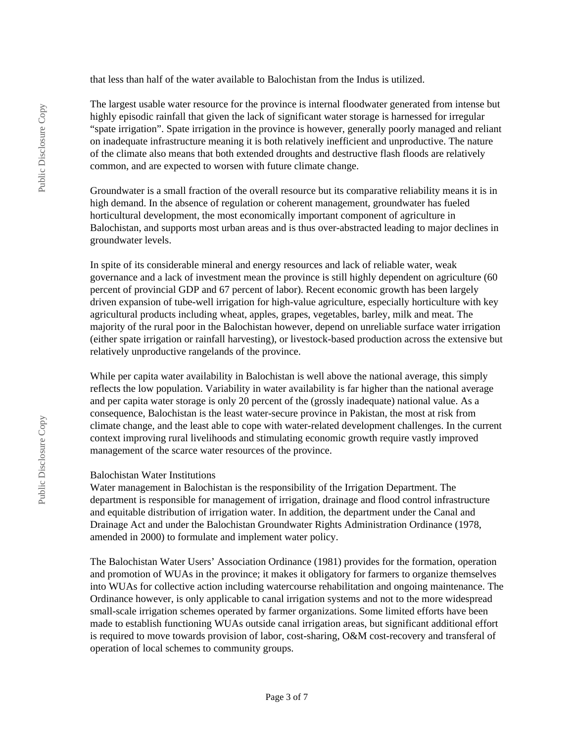that less than half of the water available to Balochistan from the Indus is utilized.

The largest usable water resource for the province is internal floodwater generated from intense but highly episodic rainfall that given the lack of significant water storage is harnessed for irregular "spate irrigation". Spate irrigation in the province is however, generally poorly managed and reliant on inadequate infrastructure meaning it is both relatively inefficient and unproductive. The nature of the climate also means that both extended droughts and destructive flash floods are relatively common, and are expected to worsen with future climate change.

Groundwater is a small fraction of the overall resource but its comparative reliability means it is in high demand. In the absence of regulation or coherent management, groundwater has fueled horticultural development, the most economically important component of agriculture in Balochistan, and supports most urban areas and is thus over-abstracted leading to major declines in groundwater levels.

In spite of its considerable mineral and energy resources and lack of reliable water, weak governance and a lack of investment mean the province is still highly dependent on agriculture (60 percent of provincial GDP and 67 percent of labor). Recent economic growth has been largely driven expansion of tube-well irrigation for high-value agriculture, especially horticulture with key agricultural products including wheat, apples, grapes, vegetables, barley, milk and meat. The majority of the rural poor in the Balochistan however, depend on unreliable surface water irrigation (either spate irrigation or rainfall harvesting), or livestock-based production across the extensive but relatively unproductive rangelands of the province.

While per capita water availability in Balochistan is well above the national average, this simply reflects the low population. Variability in water availability is far higher than the national average and per capita water storage is only 20 percent of the (grossly inadequate) national value. As a consequence, Balochistan is the least water-secure province in Pakistan, the most at risk from climate change, and the least able to cope with water-related development challenges. In the current context improving rural livelihoods and stimulating economic growth require vastly improved management of the scarce water resources of the province.

#### Balochistan Water Institutions

Water management in Balochistan is the responsibility of the Irrigation Department. The department is responsible for management of irrigation, drainage and flood control infrastructure and equitable distribution of irrigation water. In addition, the department under the Canal and Drainage Act and under the Balochistan Groundwater Rights Administration Ordinance (1978, amended in 2000) to formulate and implement water policy.

The Balochistan Water Users' Association Ordinance (1981) provides for the formation, operation and promotion of WUAs in the province; it makes it obligatory for farmers to organize themselves into WUAs for collective action including watercourse rehabilitation and ongoing maintenance. The Ordinance however, is only applicable to canal irrigation systems and not to the more widespread small-scale irrigation schemes operated by farmer organizations. Some limited efforts have been made to establish functioning WUAs outside canal irrigation areas, but significant additional effort is required to move towards provision of labor, cost-sharing, O&M cost-recovery and transferal of operation of local schemes to community groups.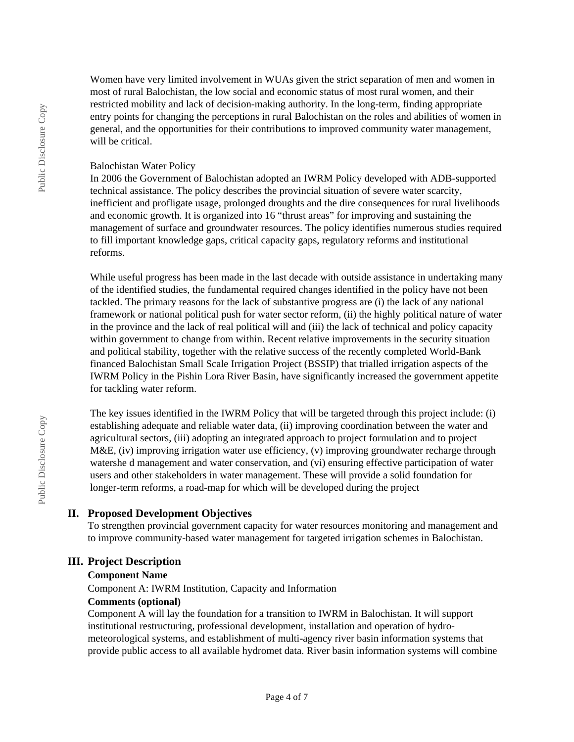Women have very limited involvement in WUAs given the strict separation of men and women in most of rural Balochistan, the low social and economic status of most rural women, and their restricted mobility and lack of decision-making authority. In the long-term, finding appropriate entry points for changing the perceptions in rural Balochistan on the roles and abilities of women in general, and the opportunities for their contributions to improved community water management, will be critical.

#### Balochistan Water Policy

In 2006 the Government of Balochistan adopted an IWRM Policy developed with ADB-supported technical assistance. The policy describes the provincial situation of severe water scarcity, inefficient and profligate usage, prolonged droughts and the dire consequences for rural livelihoods and economic growth. It is organized into 16 "thrust areas" for improving and sustaining the management of surface and groundwater resources. The policy identifies numerous studies required to fill important knowledge gaps, critical capacity gaps, regulatory reforms and institutional reforms.

While useful progress has been made in the last decade with outside assistance in undertaking many of the identified studies, the fundamental required changes identified in the policy have not been tackled. The primary reasons for the lack of substantive progress are (i) the lack of any national framework or national political push for water sector reform, (ii) the highly political nature of water in the province and the lack of real political will and (iii) the lack of technical and policy capacity within government to change from within. Recent relative improvements in the security situation and political stability, together with the relative success of the recently completed World-Bank financed Balochistan Small Scale Irrigation Project (BSSIP) that trialled irrigation aspects of the IWRM Policy in the Pishin Lora River Basin, have significantly increased the government appetite for tackling water reform.

The key issues identified in the IWRM Policy that will be targeted through this project include: (i) establishing adequate and reliable water data, (ii) improving coordination between the water and agricultural sectors, (iii) adopting an integrated approach to project formulation and to project M&E, (iv) improving irrigation water use efficiency, (v) improving groundwater recharge through watershe d management and water conservation, and (vi) ensuring effective participation of water users and other stakeholders in water management. These will provide a solid foundation for longer-term reforms, a road-map for which will be developed during the project

# **II. Proposed Development Objectives**

To strengthen provincial government capacity for water resources monitoring and management and to improve community-based water management for targeted irrigation schemes in Balochistan.

# **III. Project Description**

# **Component Name**

Component A: IWRM Institution, Capacity and Information

#### **Comments (optional)**

Component A will lay the foundation for a transition to IWRM in Balochistan. It will support institutional restructuring, professional development, installation and operation of hydrometeorological systems, and establishment of multi-agency river basin information systems that provide public access to all available hydromet data. River basin information systems will combine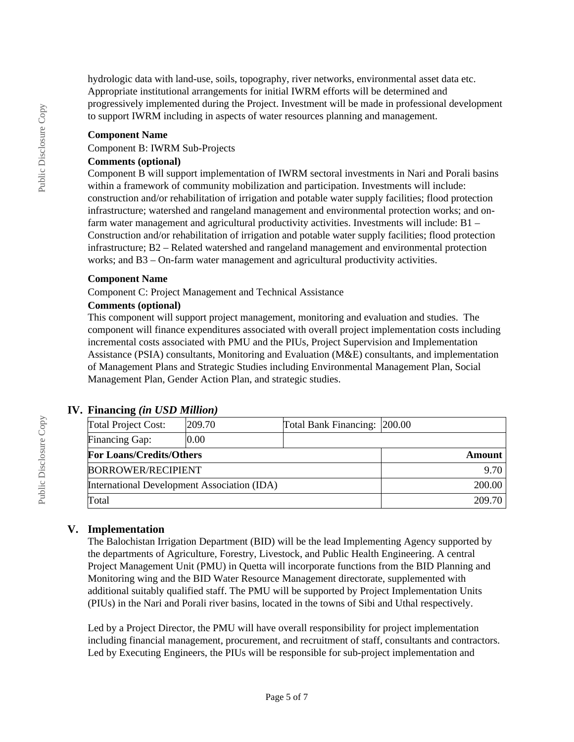hydrologic data with land-use, soils, topography, river networks, environmental asset data etc. Appropriate institutional arrangements for initial IWRM efforts will be determined and progressively implemented during the Project. Investment will be made in professional development to support IWRM including in aspects of water resources planning and management.

#### **Component Name**

Component B: IWRM Sub-Projects

#### **Comments (optional)**

Component B will support implementation of IWRM sectoral investments in Nari and Porali basins within a framework of community mobilization and participation. Investments will include: construction and/or rehabilitation of irrigation and potable water supply facilities; flood protection infrastructure; watershed and rangeland management and environmental protection works; and onfarm water management and agricultural productivity activities. Investments will include: B1 – Construction and/or rehabilitation of irrigation and potable water supply facilities; flood protection infrastructure; B2 – Related watershed and rangeland management and environmental protection works; and B3 – On-farm water management and agricultural productivity activities.

#### **Component Name**

Component C: Project Management and Technical Assistance

#### **Comments (optional)**

This component will support project management, monitoring and evaluation and studies. The component will finance expenditures associated with overall project implementation costs including incremental costs associated with PMU and the PIUs, Project Supervision and Implementation Assistance (PSIA) consultants, Monitoring and Evaluation (M&E) consultants, and implementation of Management Plans and Strategic Studies including Environmental Management Plan, Social Management Plan, Gender Action Plan, and strategic studies.

# **IV. Financing** *(in USD Million)*

| <b>Total Project Cost:</b>                  | 209.70 | Total Bank Financing: 200.00 |        |
|---------------------------------------------|--------|------------------------------|--------|
| <b>Financing Gap:</b>                       | 0.00   |                              |        |
| <b>For Loans/Credits/Others</b>             |        | Amount                       |        |
| <b>BORROWER/RECIPIENT</b>                   |        |                              | 9.70   |
| International Development Association (IDA) |        |                              | 200.00 |
| Total                                       |        | 209.70                       |        |

# **V. Implementation**

The Balochistan Irrigation Department (BID) will be the lead Implementing Agency supported by the departments of Agriculture, Forestry, Livestock, and Public Health Engineering. A central Project Management Unit (PMU) in Quetta will incorporate functions from the BID Planning and Monitoring wing and the BID Water Resource Management directorate, supplemented with additional suitably qualified staff. The PMU will be supported by Project Implementation Units (PIUs) in the Nari and Porali river basins, located in the towns of Sibi and Uthal respectively.

Led by a Project Director, the PMU will have overall responsibility for project implementation including financial management, procurement, and recruitment of staff, consultants and contractors. Led by Executing Engineers, the PIUs will be responsible for sub-project implementation and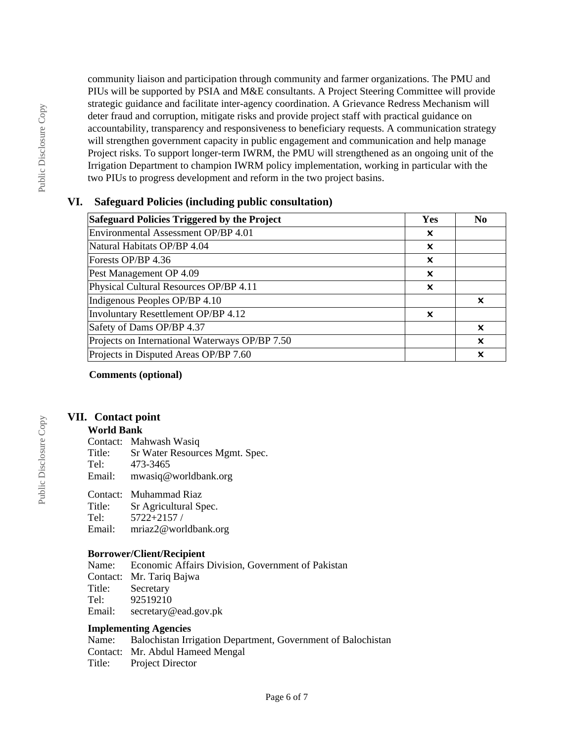community liaison and participation through community and farmer organizations. The PMU and PIUs will be supported by PSIA and M&E consultants. A Project Steering Committee will provide strategic guidance and facilitate inter-agency coordination. A Grievance Redress Mechanism will deter fraud and corruption, mitigate risks and provide project staff with practical guidance on accountability, transparency and responsiveness to beneficiary requests. A communication strategy will strengthen government capacity in public engagement and communication and help manage Project risks. To support longer-term IWRM, the PMU will strengthened as an ongoing unit of the Irrigation Department to champion IWRM policy implementation, working in particular with the two PIUs to progress development and reform in the two project basins.

# **VI. Safeguard Policies (including public consultation)**

| Safeguard Policies Triggered by the Project    |   | N <sub>0</sub> |
|------------------------------------------------|---|----------------|
| Environmental Assessment OP/BP 4.01            | x |                |
| Natural Habitats OP/BP 4.04                    | x |                |
| Forests OP/BP 4.36                             | × |                |
| Pest Management OP 4.09                        | x |                |
| Physical Cultural Resources OP/BP 4.11         | x |                |
| Indigenous Peoples OP/BP 4.10                  |   | x              |
| Involuntary Resettlement OP/BP 4.12            | x |                |
| Safety of Dams OP/BP 4.37                      |   | x              |
| Projects on International Waterways OP/BP 7.50 |   | X              |
| Projects in Disputed Areas OP/BP 7.60          |   | x              |

**Comments (optional)**

# **VII. Contact point**

#### **World Bank**

Contact: Mahwash Wasiq

Title: Sr Water Resources Mgmt. Spec.<br>Tel: 473-3465

- 473-3465
- Email: mwasiq@worldbank.org

# Contact: Muhammad Riaz

Sr Agricultural Spec.

- Tel: 5722+2157 /
- Email: mriaz2@worldbank.org

# **Borrower/Client/Recipient**

Name: Economic Affairs Division, Government of Pakistan Contact: Mr. Tariq Bajwa Secretary Tel: 92519210 Email: secretary@ead.gov.pk

# **Implementing Agencies**

Name: Balochistan Irrigation Department, Government of Balochistan Contact: Mr. Abdul Hameed Mengal Title: Project Director